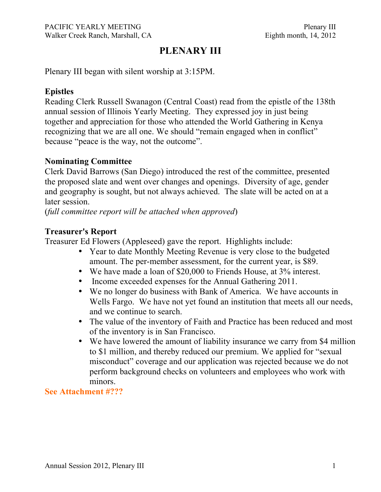# **PLENARY III**

Plenary III began with silent worship at 3:15PM.

### **Epistles**

Reading Clerk Russell Swanagon (Central Coast) read from the epistle of the 138th annual session of Illinois Yearly Meeting. They expressed joy in just being together and appreciation for those who attended the World Gathering in Kenya recognizing that we are all one. We should "remain engaged when in conflict" because "peace is the way, not the outcome".

#### **Nominating Committee**

Clerk David Barrows (San Diego) introduced the rest of the committee, presented the proposed slate and went over changes and openings. Diversity of age, gender and geography is sought, but not always achieved. The slate will be acted on at a later session.

(*full committee report will be attached when approved*)

### **Treasurer's Report**

Treasurer Ed Flowers (Appleseed) gave the report. Highlights include:

- Year to date Monthly Meeting Revenue is very close to the budgeted amount. The per-member assessment, for the current year, is \$89.
- We have made a loan of \$20,000 to Friends House, at 3% interest.
- Income exceeded expenses for the Annual Gathering 2011.
- We no longer do business with Bank of America. We have accounts in Wells Fargo. We have not yet found an institution that meets all our needs, and we continue to search.
- The value of the inventory of Faith and Practice has been reduced and most of the inventory is in San Francisco.
- We have lowered the amount of liability insurance we carry from \$4 million to \$1 million, and thereby reduced our premium. We applied for "sexual misconduct" coverage and our application was rejected because we do not perform background checks on volunteers and employees who work with minors.

#### **See Attachment #???**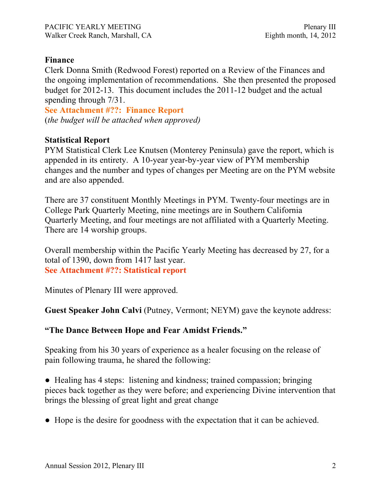### **Finance**

Clerk Donna Smith (Redwood Forest) reported on a Review of the Finances and the ongoing implementation of recommendations. She then presented the proposed budget for 2012-13. This document includes the 2011-12 budget and the actual spending through 7/31.

**See Attachment #??: Finance Report** (*the budget will be attached when approved)*

# **Statistical Report**

PYM Statistical Clerk Lee Knutsen (Monterey Peninsula) gave the report, which is appended in its entirety. A 10-year year-by-year view of PYM membership changes and the number and types of changes per Meeting are on the PYM website and are also appended.

There are 37 constituent Monthly Meetings in PYM. Twenty-four meetings are in College Park Quarterly Meeting, nine meetings are in Southern California Quarterly Meeting, and four meetings are not affiliated with a Quarterly Meeting. There are 14 worship groups.

Overall membership within the Pacific Yearly Meeting has decreased by 27, for a total of 1390, down from 1417 last year. **See Attachment #??: Statistical report**

Minutes of Plenary III were approved.

**Guest Speaker John Calvi** (Putney, Vermont; NEYM) gave the keynote address:

# **"The Dance Between Hope and Fear Amidst Friends."**

Speaking from his 30 years of experience as a healer focusing on the release of pain following trauma, he shared the following:

• Healing has 4 steps: listening and kindness; trained compassion; bringing pieces back together as they were before; and experiencing Divine intervention that brings the blessing of great light and great change

● Hope is the desire for goodness with the expectation that it can be achieved.